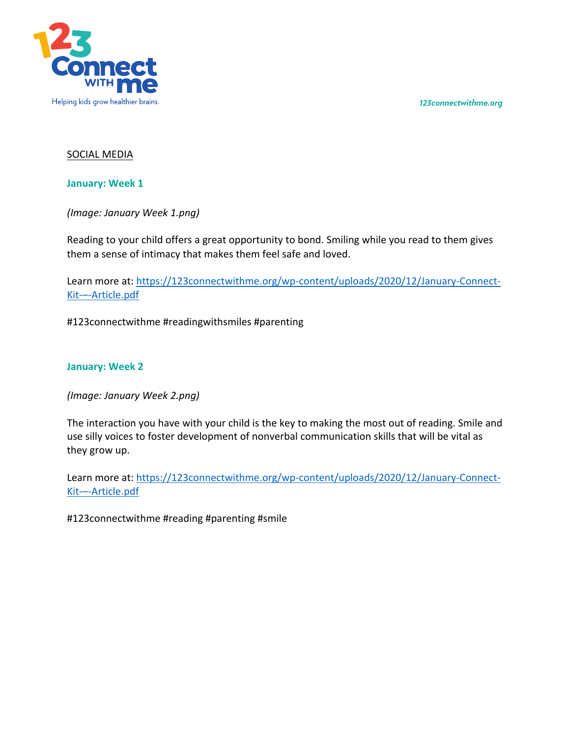*123connectwithme.org*



## SOCIAL MEDIA

**January: Week 1**

*(Image: January Week 1.png)*

Reading to your child offers a great opportunity to bond. Smiling while you read to them gives them a sense of intimacy that makes them feel safe and loved.

Learn more at: https://123connectwithme.org/wp-content/uploads/2020/12/January-Connect-Kit-–-Article.pdf

#123connectwithme #readingwithsmiles #parenting

## **January: Week 2**

*(Image: January Week 2.png)*

The interaction you have with your child is the key to making the most out of reading. Smile and use silly voices to foster development of nonverbal communication skills that will be vital as they grow up.

Learn more at: https://123connectwithme.org/wp-content/uploads/2020/12/January-Connect-Kit-–-Article.pdf

#123connectwithme #reading #parenting #smile